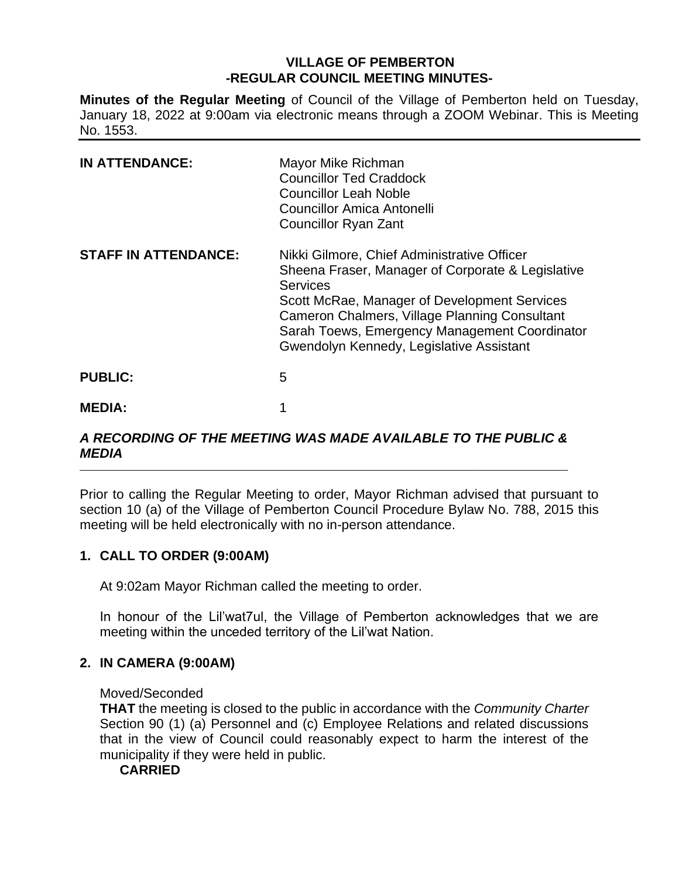## **VILLAGE OF PEMBERTON -REGULAR COUNCIL MEETING MINUTES-**

**Minutes of the Regular Meeting** of Council of the Village of Pemberton held on Tuesday, January 18, 2022 at 9:00am via electronic means through a ZOOM Webinar. This is Meeting No. 1553.

| <b>IN ATTENDANCE:</b>       | Mayor Mike Richman<br><b>Councillor Ted Craddock</b><br><b>Councillor Leah Noble</b><br>Councillor Amica Antonelli<br><b>Councillor Ryan Zant</b>                                                                                                                                                                 |
|-----------------------------|-------------------------------------------------------------------------------------------------------------------------------------------------------------------------------------------------------------------------------------------------------------------------------------------------------------------|
| <b>STAFF IN ATTENDANCE:</b> | Nikki Gilmore, Chief Administrative Officer<br>Sheena Fraser, Manager of Corporate & Legislative<br><b>Services</b><br>Scott McRae, Manager of Development Services<br>Cameron Chalmers, Village Planning Consultant<br>Sarah Toews, Emergency Management Coordinator<br>Gwendolyn Kennedy, Legislative Assistant |
| <b>PUBLIC:</b>              | 5                                                                                                                                                                                                                                                                                                                 |
| <b>MEDIA:</b>               |                                                                                                                                                                                                                                                                                                                   |

#### *A RECORDING OF THE MEETING WAS MADE AVAILABLE TO THE PUBLIC & MEDIA* \_\_\_\_\_\_\_\_\_\_\_\_\_\_\_\_\_\_\_\_\_\_\_\_\_\_\_\_\_\_\_\_\_\_\_\_\_\_\_\_\_\_\_\_\_\_\_\_\_\_\_\_\_\_\_\_\_\_\_\_\_\_\_\_\_\_\_\_\_\_\_\_\_\_\_\_\_\_\_\_\_\_\_\_\_\_\_\_\_\_\_\_\_\_\_\_\_\_\_

Prior to calling the Regular Meeting to order, Mayor Richman advised that pursuant to section 10 (a) of the Village of Pemberton Council Procedure Bylaw No. 788, 2015 this meeting will be held electronically with no in-person attendance.

# **1. CALL TO ORDER (9:00AM)**

At 9:02am Mayor Richman called the meeting to order.

In honour of the Lil'wat7ul, the Village of Pemberton acknowledges that we are meeting within the unceded territory of the Lil'wat Nation.

# **2. IN CAMERA (9:00AM)**

## Moved/Seconded

**THAT** the meeting is closed to the public in accordance with the *Community Charter* Section 90 (1) (a) Personnel and (c) Employee Relations and related discussions that in the view of Council could reasonably expect to harm the interest of the municipality if they were held in public.

## **CARRIED**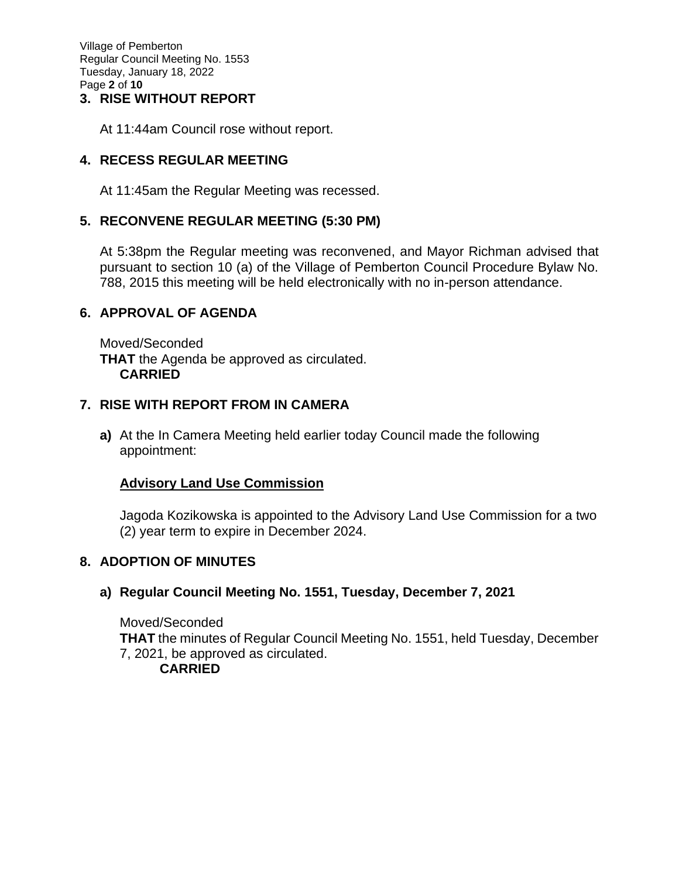Village of Pemberton Regular Council Meeting No. 1553 Tuesday, January 18, 2022 Page **2** of **10**

## **3. RISE WITHOUT REPORT**

At 11:44am Council rose without report.

## **4. RECESS REGULAR MEETING**

At 11:45am the Regular Meeting was recessed.

## **5. RECONVENE REGULAR MEETING (5:30 PM)**

At 5:38pm the Regular meeting was reconvened, and Mayor Richman advised that pursuant to section 10 (a) of the Village of Pemberton Council Procedure Bylaw No. 788, 2015 this meeting will be held electronically with no in-person attendance.

## **6. APPROVAL OF AGENDA**

Moved/Seconded **THAT** the Agenda be approved as circulated. **CARRIED**

### **7. RISE WITH REPORT FROM IN CAMERA**

**a)** At the In Camera Meeting held earlier today Council made the following appointment:

## **Advisory Land Use Commission**

Jagoda Kozikowska is appointed to the Advisory Land Use Commission for a two (2) year term to expire in December 2024.

## **8. ADOPTION OF MINUTES**

## **a) Regular Council Meeting No. 1551, Tuesday, December 7, 2021**

Moved/Seconded **THAT** the minutes of Regular Council Meeting No. 1551, held Tuesday, December 7, 2021, be approved as circulated. **CARRIED**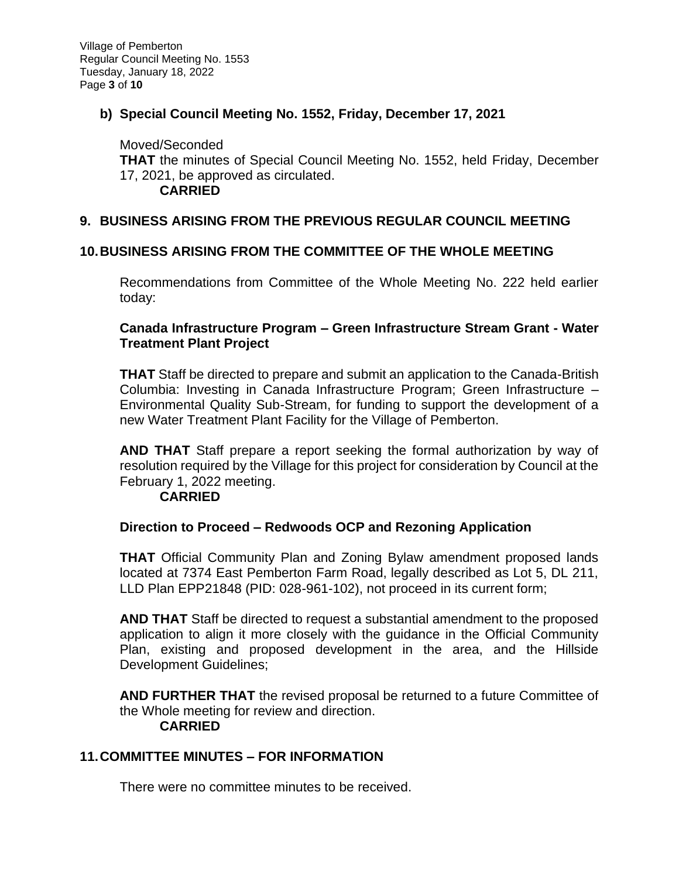# **b) Special Council Meeting No. 1552, Friday, December 17, 2021**

Moved/Seconded **THAT** the minutes of Special Council Meeting No. 1552, held Friday, December 17, 2021, be approved as circulated. **CARRIED**

## **9. BUSINESS ARISING FROM THE PREVIOUS REGULAR COUNCIL MEETING**

### **10.BUSINESS ARISING FROM THE COMMITTEE OF THE WHOLE MEETING**

Recommendations from Committee of the Whole Meeting No. 222 held earlier today:

### **Canada Infrastructure Program – Green Infrastructure Stream Grant - Water Treatment Plant Project**

**THAT** Staff be directed to prepare and submit an application to the Canada-British Columbia: Investing in Canada Infrastructure Program; Green Infrastructure – Environmental Quality Sub-Stream, for funding to support the development of a new Water Treatment Plant Facility for the Village of Pemberton.

**AND THAT** Staff prepare a report seeking the formal authorization by way of resolution required by the Village for this project for consideration by Council at the February 1, 2022 meeting.

#### **CARRIED**

### **Direction to Proceed – Redwoods OCP and Rezoning Application**

**THAT** Official Community Plan and Zoning Bylaw amendment proposed lands located at 7374 East Pemberton Farm Road, legally described as Lot 5, DL 211, LLD Plan EPP21848 (PID: 028-961-102), not proceed in its current form;

**AND THAT** Staff be directed to request a substantial amendment to the proposed application to align it more closely with the guidance in the Official Community Plan, existing and proposed development in the area, and the Hillside Development Guidelines;

**AND FURTHER THAT** the revised proposal be returned to a future Committee of the Whole meeting for review and direction. **CARRIED**

### **11.COMMITTEE MINUTES – FOR INFORMATION**

There were no committee minutes to be received.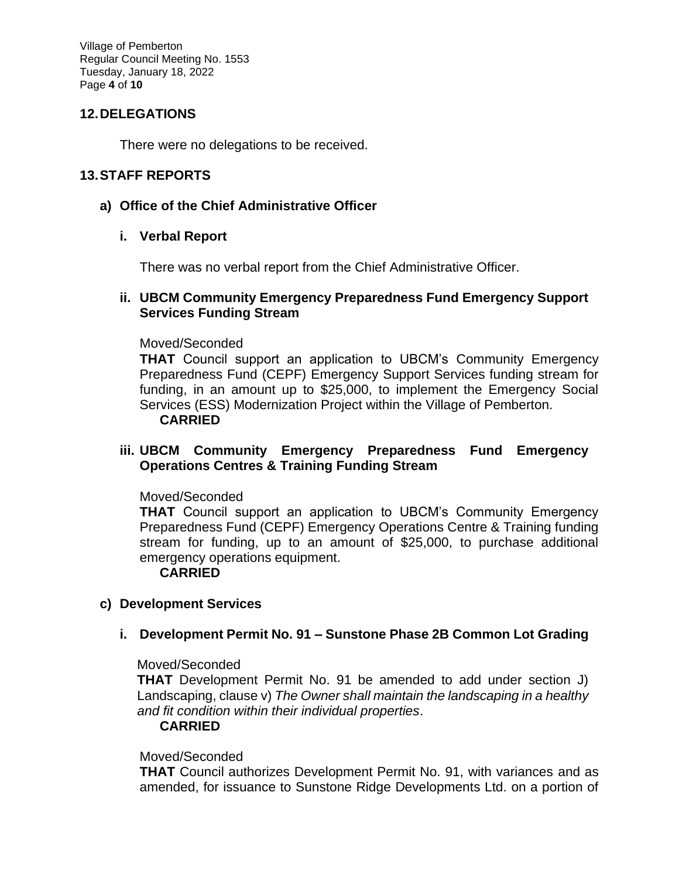Village of Pemberton Regular Council Meeting No. 1553 Tuesday, January 18, 2022 Page **4** of **10**

## **12.DELEGATIONS**

There were no delegations to be received.

### **13.STAFF REPORTS**

### **a) Office of the Chief Administrative Officer**

### **i. Verbal Report**

There was no verbal report from the Chief Administrative Officer.

### **ii. UBCM Community Emergency Preparedness Fund Emergency Support Services Funding Stream**

### Moved/Seconded

**THAT** Council support an application to UBCM's Community Emergency Preparedness Fund (CEPF) Emergency Support Services funding stream for funding, in an amount up to \$25,000, to implement the Emergency Social Services (ESS) Modernization Project within the Village of Pemberton. **CARRIED**

### **iii. UBCM Community Emergency Preparedness Fund Emergency Operations Centres & Training Funding Stream**

#### Moved/Seconded

**THAT** Council support an application to UBCM's Community Emergency Preparedness Fund (CEPF) Emergency Operations Centre & Training funding stream for funding, up to an amount of \$25,000, to purchase additional emergency operations equipment.

#### **CARRIED**

### **c) Development Services**

### **i. Development Permit No. 91 – Sunstone Phase 2B Common Lot Grading**

#### Moved/Seconded

**THAT** Development Permit No. 91 be amended to add under section J) Landscaping, clause v) *The Owner shall maintain the landscaping in a healthy and fit condition within their individual properties*.

#### **CARRIED**

#### Moved/Seconded

**THAT** Council authorizes Development Permit No. 91, with variances and as amended, for issuance to Sunstone Ridge Developments Ltd. on a portion of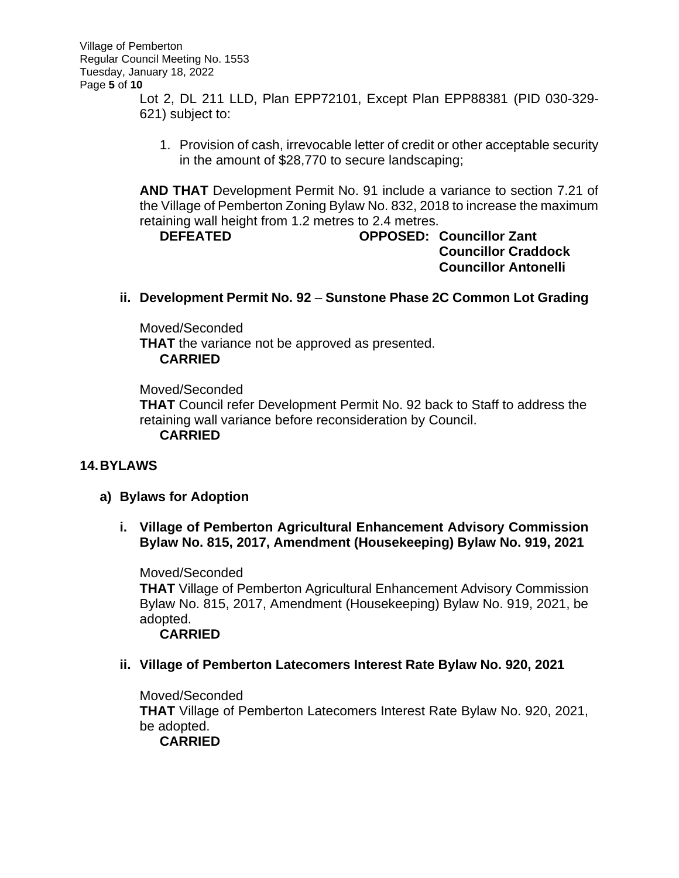Lot 2, DL 211 LLD, Plan EPP72101, Except Plan EPP88381 (PID 030-329- 621) subject to:

1. Provision of cash, irrevocable letter of credit or other acceptable security in the amount of \$28,770 to secure landscaping;

**AND THAT** Development Permit No. 91 include a variance to section 7.21 of the Village of Pemberton Zoning Bylaw No. 832, 2018 to increase the maximum retaining wall height from 1.2 metres to 2.4 metres.

**DEFEATED OPPOSED: Councillor Zant Councillor Craddock Councillor Antonelli**

## **ii. Development Permit No. 92** – **Sunstone Phase 2C Common Lot Grading**

Moved/Seconded **THAT** the variance not be approved as presented. **CARRIED**

Moved/Seconded **THAT** Council refer Development Permit No. 92 back to Staff to address the retaining wall variance before reconsideration by Council. **CARRIED**

# **14.BYLAWS**

- **a) Bylaws for Adoption**
	- **i. Village of Pemberton Agricultural Enhancement Advisory Commission Bylaw No. 815, 2017, Amendment (Housekeeping) Bylaw No. 919, 2021**

Moved/Seconded **THAT** Village of Pemberton Agricultural Enhancement Advisory Commission Bylaw No. 815, 2017, Amendment (Housekeeping) Bylaw No. 919, 2021, be adopted. **CARRIED**

**ii. Village of Pemberton Latecomers Interest Rate Bylaw No. 920, 2021**

Moved/Seconded **THAT** Village of Pemberton Latecomers Interest Rate Bylaw No. 920, 2021, be adopted. **CARRIED**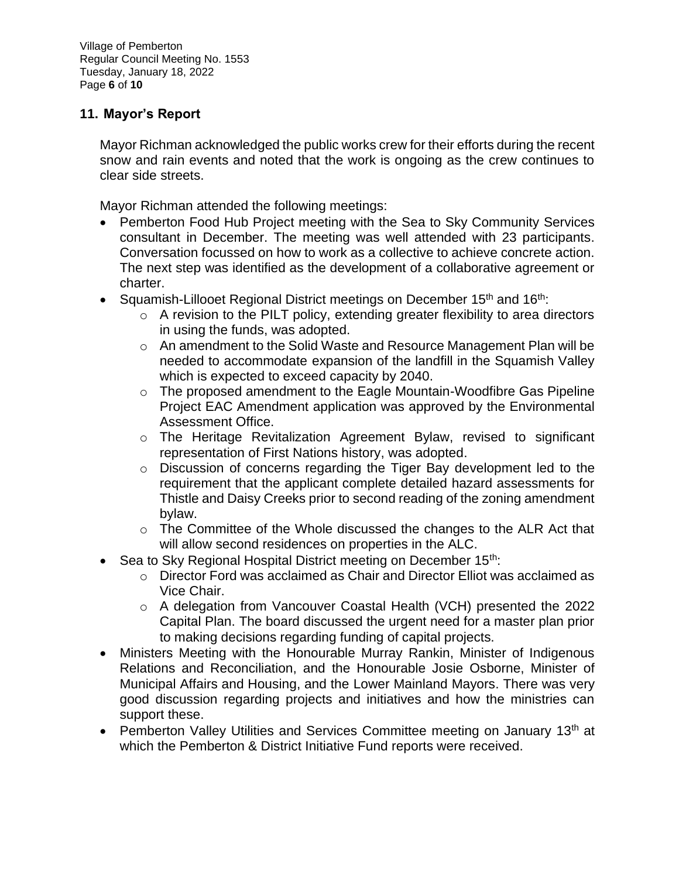Village of Pemberton Regular Council Meeting No. 1553 Tuesday, January 18, 2022 Page **6** of **10**

## **11. Mayor's Report**

Mayor Richman acknowledged the public works crew for their efforts during the recent snow and rain events and noted that the work is ongoing as the crew continues to clear side streets.

Mayor Richman attended the following meetings:

- Pemberton Food Hub Project meeting with the Sea to Sky Community Services consultant in December. The meeting was well attended with 23 participants. Conversation focussed on how to work as a collective to achieve concrete action. The next step was identified as the development of a collaborative agreement or charter.
- Squamish-Lillooet Regional District meetings on December  $15<sup>th</sup>$  and  $16<sup>th</sup>$ .
	- $\circ$  A revision to the PILT policy, extending greater flexibility to area directors in using the funds, was adopted.
	- o An amendment to the Solid Waste and Resource Management Plan will be needed to accommodate expansion of the landfill in the Squamish Valley which is expected to exceed capacity by 2040.
	- o The proposed amendment to the Eagle Mountain-Woodfibre Gas Pipeline Project EAC Amendment application was approved by the Environmental Assessment Office.
	- o The Heritage Revitalization Agreement Bylaw, revised to significant representation of First Nations history, was adopted.
	- o Discussion of concerns regarding the Tiger Bay development led to the requirement that the applicant complete detailed hazard assessments for Thistle and Daisy Creeks prior to second reading of the zoning amendment bylaw.
	- $\circ$  The Committee of the Whole discussed the changes to the ALR Act that will allow second residences on properties in the ALC.
- Sea to Sky Regional Hospital District meeting on December 15<sup>th</sup>:
	- $\circ$  Director Ford was acclaimed as Chair and Director Elliot was acclaimed as Vice Chair.
	- o A delegation from Vancouver Coastal Health (VCH) presented the 2022 Capital Plan. The board discussed the urgent need for a master plan prior to making decisions regarding funding of capital projects.
- Ministers Meeting with the Honourable Murray Rankin, Minister of Indigenous Relations and Reconciliation, and the Honourable Josie Osborne, Minister of Municipal Affairs and Housing, and the Lower Mainland Mayors. There was very good discussion regarding projects and initiatives and how the ministries can support these.
- Pemberton Valley Utilities and Services Committee meeting on January 13<sup>th</sup> at which the Pemberton & District Initiative Fund reports were received.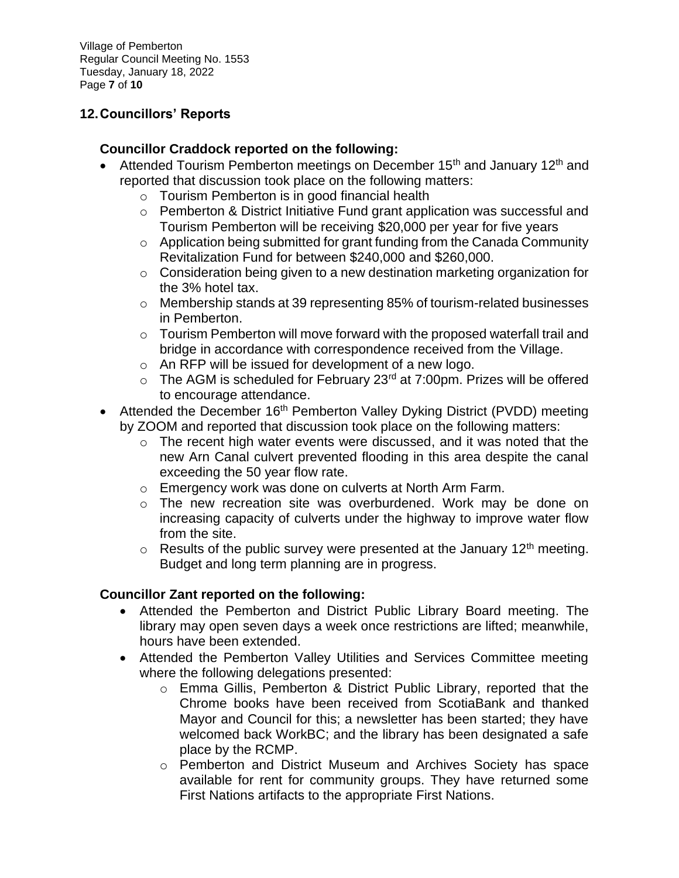Village of Pemberton Regular Council Meeting No. 1553 Tuesday, January 18, 2022 Page **7** of **10**

# **12.Councillors' Reports**

# **Councillor Craddock reported on the following:**

- Attended Tourism Pemberton meetings on December 15<sup>th</sup> and January 12<sup>th</sup> and reported that discussion took place on the following matters:
	- o Tourism Pemberton is in good financial health
	- $\circ$  Pemberton & District Initiative Fund grant application was successful and Tourism Pemberton will be receiving \$20,000 per year for five years
	- o Application being submitted for grant funding from the Canada Community Revitalization Fund for between \$240,000 and \$260,000.
	- o Consideration being given to a new destination marketing organization for the 3% hotel tax.
	- o Membership stands at 39 representing 85% of tourism-related businesses in Pemberton.
	- $\circ$  Tourism Pemberton will move forward with the proposed waterfall trail and bridge in accordance with correspondence received from the Village.
	- o An RFP will be issued for development of a new logo.
	- $\circ$  The AGM is scheduled for February 23<sup>rd</sup> at 7:00pm. Prizes will be offered to encourage attendance.
- Attended the December 16<sup>th</sup> Pemberton Valley Dyking District (PVDD) meeting by ZOOM and reported that discussion took place on the following matters:
	- o The recent high water events were discussed, and it was noted that the new Arn Canal culvert prevented flooding in this area despite the canal exceeding the 50 year flow rate.
	- o Emergency work was done on culverts at North Arm Farm.
	- o The new recreation site was overburdened. Work may be done on increasing capacity of culverts under the highway to improve water flow from the site.
	- $\circ$  Results of the public survey were presented at the January 12<sup>th</sup> meeting. Budget and long term planning are in progress.

# **Councillor Zant reported on the following:**

- Attended the Pemberton and District Public Library Board meeting. The library may open seven days a week once restrictions are lifted; meanwhile, hours have been extended.
- Attended the Pemberton Valley Utilities and Services Committee meeting where the following delegations presented:
	- o Emma Gillis, Pemberton & District Public Library, reported that the Chrome books have been received from ScotiaBank and thanked Mayor and Council for this; a newsletter has been started; they have welcomed back WorkBC; and the library has been designated a safe place by the RCMP.
	- o Pemberton and District Museum and Archives Society has space available for rent for community groups. They have returned some First Nations artifacts to the appropriate First Nations.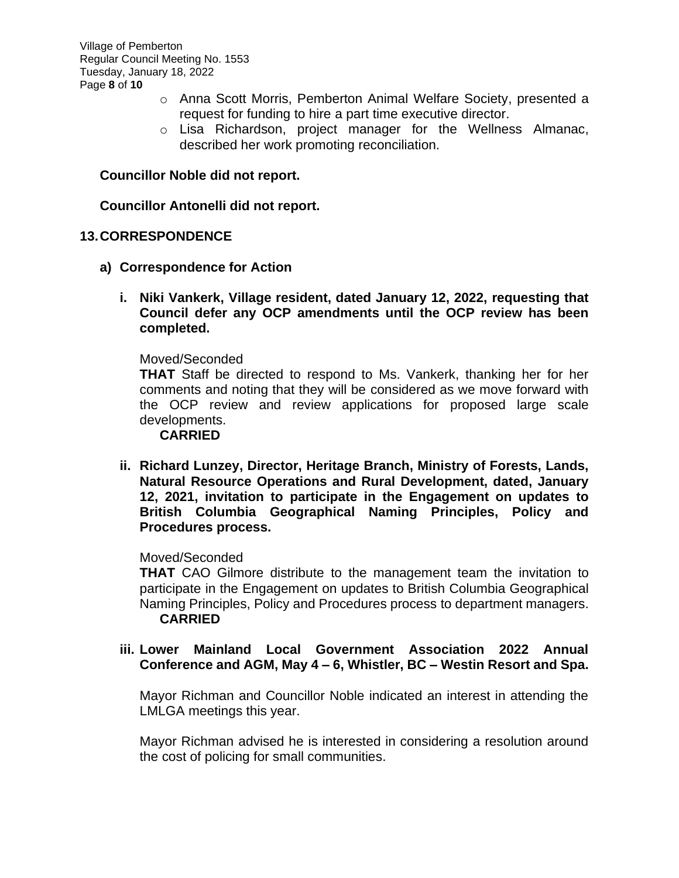Village of Pemberton Regular Council Meeting No. 1553 Tuesday, January 18, 2022 Page **8** of **10**

- o Anna Scott Morris, Pemberton Animal Welfare Society, presented a request for funding to hire a part time executive director.
- o Lisa Richardson, project manager for the Wellness Almanac, described her work promoting reconciliation.

## **Councillor Noble did not report.**

### **Councillor Antonelli did not report.**

### **13.CORRESPONDENCE**

- **a) Correspondence for Action**
	- **i. Niki Vankerk, Village resident, dated January 12, 2022, requesting that Council defer any OCP amendments until the OCP review has been completed.**

#### Moved/Seconded

**THAT** Staff be directed to respond to Ms. Vankerk, thanking her for her comments and noting that they will be considered as we move forward with the OCP review and review applications for proposed large scale developments.

#### **CARRIED**

**ii. Richard Lunzey, Director, Heritage Branch, Ministry of Forests, Lands, Natural Resource Operations and Rural Development, dated, January 12, 2021, invitation to participate in the Engagement on updates to British Columbia Geographical Naming Principles, Policy and Procedures process.**

### Moved/Seconded

**THAT** CAO Gilmore distribute to the management team the invitation to participate in the Engagement on updates to British Columbia Geographical Naming Principles, Policy and Procedures process to department managers. **CARRIED**

### **iii. Lower Mainland Local Government Association 2022 Annual Conference and AGM, May 4 – 6, Whistler, BC – Westin Resort and Spa.**

Mayor Richman and Councillor Noble indicated an interest in attending the LMLGA meetings this year.

Mayor Richman advised he is interested in considering a resolution around the cost of policing for small communities.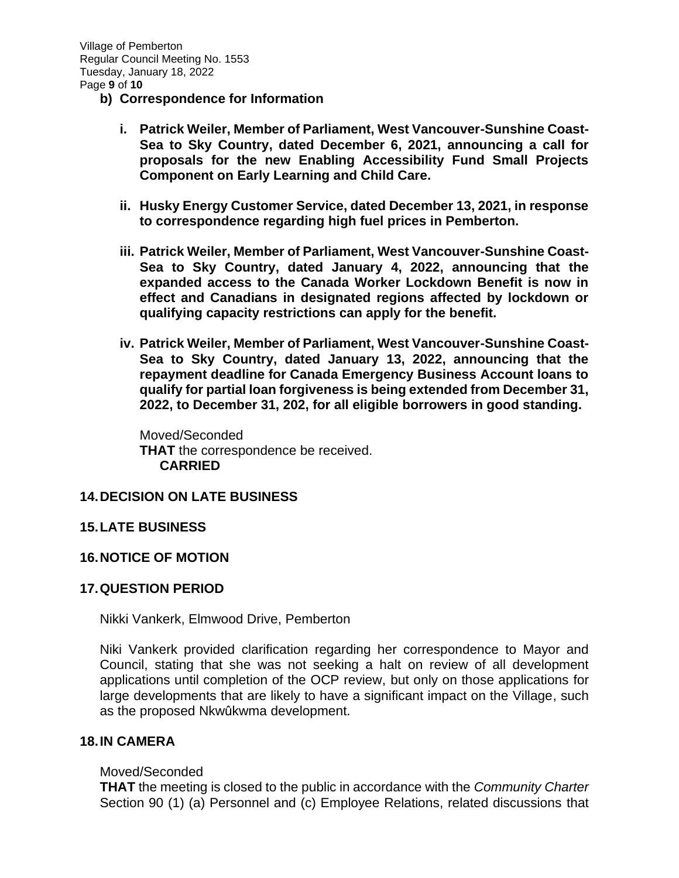- **b) Correspondence for Information**
	- **i. Patrick Weiler, Member of Parliament, West Vancouver-Sunshine Coast-Sea to Sky Country, dated December 6, 2021, announcing a call for proposals for the new Enabling Accessibility Fund Small Projects Component on Early Learning and Child Care.**
	- **ii. Husky Energy Customer Service, dated December 13, 2021, in response to correspondence regarding high fuel prices in Pemberton.**
	- **iii. Patrick Weiler, Member of Parliament, West Vancouver-Sunshine Coast-Sea to Sky Country, dated January 4, 2022, announcing that the expanded access to the Canada Worker Lockdown Benefit is now in effect and Canadians in designated regions affected by lockdown or qualifying capacity restrictions can apply for the benefit.**
	- **iv. Patrick Weiler, Member of Parliament, West Vancouver-Sunshine Coast-Sea to Sky Country, dated January 13, 2022, announcing that the repayment deadline for Canada Emergency Business Account loans to qualify for partial loan forgiveness is being extended from December 31, 2022, to December 31, 202, for all eligible borrowers in good standing.**

Moved/Seconded **THAT** the correspondence be received. **CARRIED**

### **14.DECISION ON LATE BUSINESS**

### **15.LATE BUSINESS**

### **16.NOTICE OF MOTION**

### **17.QUESTION PERIOD**

Nikki Vankerk, Elmwood Drive, Pemberton

Niki Vankerk provided clarification regarding her correspondence to Mayor and Council, stating that she was not seeking a halt on review of all development applications until completion of the OCP review, but only on those applications for large developments that are likely to have a significant impact on the Village, such as the proposed Nkwûkwma development.

### **18.IN CAMERA**

#### Moved/Seconded

**THAT** the meeting is closed to the public in accordance with the *Community Charter* Section 90 (1) (a) Personnel and (c) Employee Relations, related discussions that